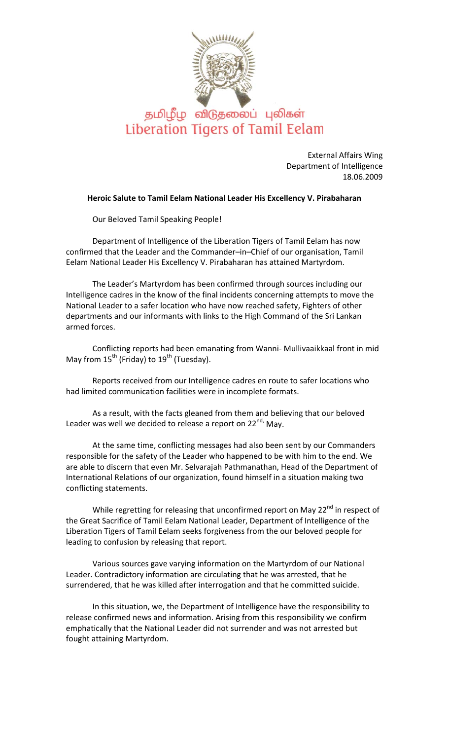

## தமிழீழ விடுதலைப் புலிகள் Liberation Tigers of Tamil Eelam

External Affairs Wing Department of Intelligence 18.06.2009

## **Heroic Salute to Tamil Eelam National Leader His Excellency V. Pirabaharan**

Our Beloved Tamil Speaking People!

Department of Intelligence of the Liberation Tigers of Tamil Eelam has now confirmed that the Leader and the Commander–in–Chief of our organisation, Tamil Eelam National Leader His Excellency V. Pirabaharan has attained Martyrdom.

The Leader's Martyrdom has been confirmed through sources including our Intelligence cadres in the know of the final incidents concerning attempts to move the National Leader to a safer location who have now reached safety, Fighters of other departments and our informants with links to the High Command of the Sri Lankan armed forces.

Conflicting reports had been emanating from Wanni‐ Mullivaaikkaal front in mid May from  $15^{th}$  (Friday) to  $19^{th}$  (Tuesday).

Reports received from our Intelligence cadres en route to safer locations who had limited communication facilities were in incomplete formats.

As a result, with the facts gleaned from them and believing that our beloved Leader was well we decided to release a report on 22<sup>nd,</sup> May.

At the same time, conflicting messages had also been sent by our Commanders responsible for the safety of the Leader who happened to be with him to the end. We are able to discern that even Mr. Selvarajah Pathmanathan, Head of the Department of International Relations of our organization, found himself in a situation making two conflicting statements.

While regretting for releasing that unconfirmed report on May 22<sup>nd</sup> in respect of the Great Sacrifice of Tamil Eelam National Leader, Department of Intelligence of the Liberation Tigers of Tamil Eelam seeks forgiveness from the our beloved people for leading to confusion by releasing that report.

Various sources gave varying information on the Martyrdom of our National Leader. Contradictory information are circulating that he was arrested, that he surrendered, that he was killed after interrogation and that he committed suicide.

In this situation, we, the Department of Intelligence have the responsibility to release confirmed news and information. Arising from this responsibility we confirm emphatically that the National Leader did not surrender and was not arrested but fought attaining Martyrdom.